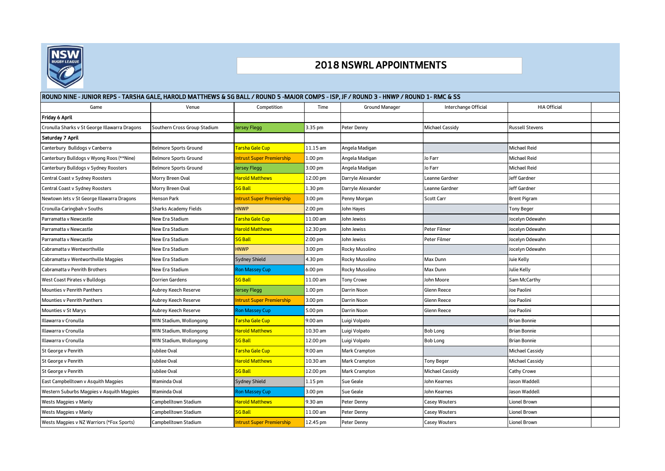

## 2018 NSWRL APPOINTMENTS

| ROUND NINE - JUNIOR REPS - TARSHA GALE, HAROLD MATTHEWS & SG BALL / ROUND 5 -MAJOR COMPS - ISP, JF / ROUND 3 - HNWP / ROUND 1- RMC & SS |                              |                                  |                    |                       |                        |                        |  |  |  |  |  |
|-----------------------------------------------------------------------------------------------------------------------------------------|------------------------------|----------------------------------|--------------------|-----------------------|------------------------|------------------------|--|--|--|--|--|
| Game                                                                                                                                    | Venue                        | Competition                      | Time               | <b>Ground Manager</b> | Interchange Official   | <b>HIA Official</b>    |  |  |  |  |  |
| Friday 6 April                                                                                                                          |                              |                                  |                    |                       |                        |                        |  |  |  |  |  |
| Cronulla Sharks v St George Illawarra Dragons                                                                                           | Southern Cross Group Stadium | Jersey Flegg                     | 3.35 pm            | Peter Denny           | Michael Cassidy        | <b>Russell Stevens</b> |  |  |  |  |  |
| Saturday 7 April                                                                                                                        |                              |                                  |                    |                       |                        |                        |  |  |  |  |  |
| Canterbury Bulldogs v Canberra                                                                                                          | <b>Belmore Sports Ground</b> | Tarsha Gale Cup                  | $11.15$ am         | Angela Madigan        |                        | <b>Michael Reid</b>    |  |  |  |  |  |
| Canterbury Bulldogs v Wyong Roos (**Nine)                                                                                               | <b>Belmore Sports Ground</b> | ntrust Super Premiership         | 1.00 <sub>pm</sub> | Angela Madigan        | Jo Farr                | <b>Michael Reid</b>    |  |  |  |  |  |
| Canterbury Bulldogs v Sydney Roosters                                                                                                   | Belmore Sports Ground        | Iersey Flegg                     | 3.00 pm            | Angela Madigan        | lo Farr                | Michael Reid           |  |  |  |  |  |
| Central Coast v Sydney Roosters                                                                                                         | Morry Breen Oval             | <b>Harold Matthews</b>           | 12.00 pm           | Darryle Alexander     | Leanne Gardner         | Jeff Gardner           |  |  |  |  |  |
| Central Coast v Sydney Roosters                                                                                                         | Morry Breen Oval             | <b>SG Ball</b>                   | 1.30 pm            | Darryle Alexander     | Leanne Gardner         | Jeff Gardner           |  |  |  |  |  |
| Newtown Jets v St George Illawarra Dragons                                                                                              | Henson Park                  | ntrust Super Premiership         | 3.00 pm            | Penny Morgan          | <b>Scott Carr</b>      | <b>Brent Pigram</b>    |  |  |  |  |  |
| Cronulla-Caringbah v Souths                                                                                                             | Sharks Academy Fields        | <b>HNWP</b>                      | 2.00 pm            | John Hayes            |                        | Tony Beger             |  |  |  |  |  |
| Parramatta v Newcastle                                                                                                                  | New Era Stadium              | arsha Gale Cup                   | $11.00$ am         | John Jewiss           |                        | Jocelyn Odewahn        |  |  |  |  |  |
| Parramatta v Newcastle                                                                                                                  | New Era Stadium              | <b>Harold Matthews</b>           | 12.30 pm           | John Jewiss           | Peter Filmer           | Jocelyn Odewahn        |  |  |  |  |  |
| Parramatta v Newcastle                                                                                                                  | <b>New Era Stadium</b>       | <mark>SG Ball</mark>             | 2.00 pm            | John Jewiss           | Peter Filmer           | Jocelyn Odewahn        |  |  |  |  |  |
| Cabramatta v Wentworthville                                                                                                             | New Era Stadium              | <b>HNWP</b>                      | 3.00 pm            | Rocky Musolino        |                        | Jocelyn Odewahn        |  |  |  |  |  |
| Cabramatta v Wentworthville Magpies                                                                                                     | New Era Stadium              | <b>Sydney Shield</b>             | 4.30 pm            | Rocky Musolino        | Max Dunn               | Juie Kelly             |  |  |  |  |  |
| <b>Cabramatta v Penrith Brothers</b>                                                                                                    | New Era Stadium              | <b>Ron Massey Cup</b>            | 6.00 pm            | Rocky Musolino        | Max Dunn               | Julie Kelly            |  |  |  |  |  |
| West Coast Pirates v Bulldogs                                                                                                           | Dorrien Gardens              | <b>SG Ball</b>                   | 11.00 am           | Tony Crowe            | lohn Moore             | Sam McCarthy           |  |  |  |  |  |
| <b>Mounties v Penrith Panthers</b>                                                                                                      | Aubrey Keech Reserve         | Jersey Flegg                     | 1.00 pm            | Darrin Noon           | Glenn Reece            | Joe Paolini            |  |  |  |  |  |
| Mounties v Penrith Panthers                                                                                                             | Aubrey Keech Reserve         | <b>Intrust Super Premiership</b> | 3.00 pm            | Darrin Noon           | Glenn Reece            | Joe Paolini            |  |  |  |  |  |
| Mounties v St Marys                                                                                                                     | Aubrey Keech Reserve         | <b>Ron Massey Cup</b>            | 5.00 pm            | Darrin Noon           | Glenn Reece            | Joe Paolini            |  |  |  |  |  |
| Illawarra v Cronulla                                                                                                                    | WIN Stadium, Wollongong      | <mark>Farsha Gale Cup</mark>     | 9.00 am            | Luigi Volpato         |                        | <b>Brian Bonnie</b>    |  |  |  |  |  |
| Illawarra v Cronulla                                                                                                                    | WIN Stadium, Wollongong      | Harold Matthews                  | 10.30 am           | Luigi Volpato         | Bob Long               | <b>Brian Bonnie</b>    |  |  |  |  |  |
| Illawarra v Cronulla                                                                                                                    | WIN Stadium, Wollongong      | <b>SG Ball</b>                   | 12.00 pm           | Luigi Volpato         | <b>Bob Long</b>        | <b>Brian Bonnie</b>    |  |  |  |  |  |
| St George v Penrith                                                                                                                     | ubilee Oval                  | <mark>Farsha Gale Cup</mark>     | 9.00 am            | Mark Crampton         |                        | Michael Cassidy        |  |  |  |  |  |
| St George v Penrith                                                                                                                     | lubilee Oval                 | <b>Harold Matthews</b>           | 10.30 am           | <b>Mark Crampton</b>  | <b>Tony Beger</b>      | Michael Cassidy        |  |  |  |  |  |
| St George v Penrith                                                                                                                     | ubilee Oval                  | <b>SG Ball</b>                   | 12.00 pm           | <b>Mark Crampton</b>  | <b>Michael Cassidy</b> | Cathy Crowe            |  |  |  |  |  |
| East Campbelltown v Asquith Magpies                                                                                                     | Waminda Oval                 | <b>Sydney Shield</b>             | $1.15$ pm          | Sue Geale             | lohn Kearnes           | Jason Waddell          |  |  |  |  |  |
| Western Suburbs Magpies v Asquith Magpies                                                                                               | Waminda Oval                 | <b>Ron Massey Cup</b>            | 3.00 pm            | Sue Geale             | lohn Kearnes           | Jason Waddell          |  |  |  |  |  |
| Wests Magpies v Manly                                                                                                                   | Campbelltown Stadium         | <b>Harold Matthews</b>           | 9.30 am            | Peter Denny           | Casey Wouters          | Lionel Brown           |  |  |  |  |  |
| Wests Magpies v Manly                                                                                                                   | Campbelltown Stadium         | <b>SG Ball</b>                   | 11.00 am           | Peter Denny           | Casey Wouters          | Lionel Brown           |  |  |  |  |  |
| Wests Magpies v NZ Warriors (*Fox Sports)                                                                                               | Campbelltown Stadium         | Intrust Super Premiership        | 12.45 pm           | Peter Denny           | Casey Wouters          | Lionel Brown           |  |  |  |  |  |